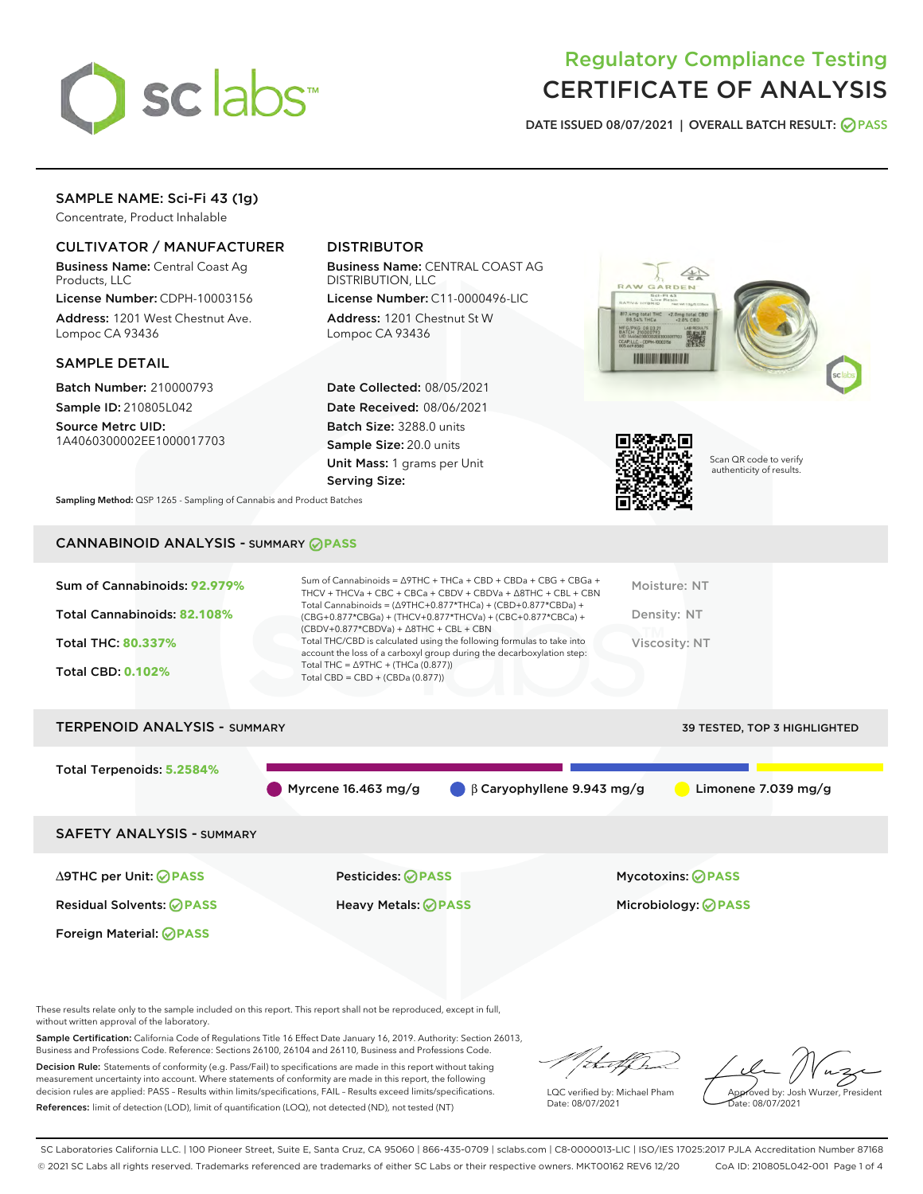

## Regulatory Compliance Testing CERTIFICATE OF ANALYSIS

DATE ISSUED 08/07/2021 | OVERALL BATCH RESULT: @ PASS

#### SAMPLE NAME: Sci-Fi 43 (1g)

Concentrate, Product Inhalable

#### CULTIVATOR / MANUFACTURER

Business Name: Central Coast Ag Products, LLC

License Number: CDPH-10003156 Address: 1201 West Chestnut Ave. Lompoc CA 93436

#### SAMPLE DETAIL

Batch Number: 210000793 Sample ID: 210805L042

Source Metrc UID: 1A4060300002EE1000017703

#### DISTRIBUTOR

Business Name: CENTRAL COAST AG DISTRIBUTION, LLC

License Number: C11-0000496-LIC Address: 1201 Chestnut St W Lompoc CA 93436

Date Collected: 08/05/2021 Date Received: 08/06/2021 Batch Size: 3288.0 units Sample Size: 20.0 units Unit Mass: 1 grams per Unit Serving Size:





Scan QR code to verify authenticity of results.

Sampling Method: QSP 1265 - Sampling of Cannabis and Product Batches

### CANNABINOID ANALYSIS - SUMMARY **PASS**

| Total Cannabinoids = $(\Delta$ 9THC+0.877*THCa) + $(CBD+0.877$ *CBDa) +<br>Total Cannabinoids: 82.108%<br>Density: NT<br>(CBG+0.877*CBGa) + (THCV+0.877*THCVa) + (CBC+0.877*CBCa) +<br>$(CBDV+0.877*CBDVa) + \Delta 8THC + CBL + CBN$<br>Total THC/CBD is calculated using the following formulas to take into<br><b>Total THC: 80.337%</b><br>Viscosity: NT<br>account the loss of a carboxyl group during the decarboxylation step:<br>Total THC = $\triangle$ 9THC + (THCa (0.877))<br><b>Total CBD: 0.102%</b> | Sum of Cannabinoids: 92.979% | Sum of Cannabinoids = $\triangle$ 9THC + THCa + CBD + CBDa + CBG + CBGa +<br>THCV + THCVa + CBC + CBCa + CBDV + CBDVa + $\Delta$ 8THC + CBL + CBN | Moisture: NT |
|--------------------------------------------------------------------------------------------------------------------------------------------------------------------------------------------------------------------------------------------------------------------------------------------------------------------------------------------------------------------------------------------------------------------------------------------------------------------------------------------------------------------|------------------------------|---------------------------------------------------------------------------------------------------------------------------------------------------|--------------|
|                                                                                                                                                                                                                                                                                                                                                                                                                                                                                                                    |                              |                                                                                                                                                   |              |
|                                                                                                                                                                                                                                                                                                                                                                                                                                                                                                                    |                              |                                                                                                                                                   |              |
|                                                                                                                                                                                                                                                                                                                                                                                                                                                                                                                    |                              | Total CBD = $CBD + (CBDa (0.877))$                                                                                                                |              |

# TERPENOID ANALYSIS - SUMMARY 39 TESTED, TOP 3 HIGHLIGHTED Total Terpenoids: **5.2584%** Myrcene 16.463 mg/g  $\bigcirc$  β Caryophyllene 9.943 mg/g  $\bigcirc$  Limonene 7.039 mg/g SAFETY ANALYSIS - SUMMARY

Foreign Material: **PASS**

∆9THC per Unit: **PASS** Pesticides: **PASS** Mycotoxins: **PASS**

Residual Solvents: **PASS** Heavy Metals: **PASS** Microbiology: **PASS**

These results relate only to the sample included on this report. This report shall not be reproduced, except in full, without written approval of the laboratory.

Sample Certification: California Code of Regulations Title 16 Effect Date January 16, 2019. Authority: Section 26013, Business and Professions Code. Reference: Sections 26100, 26104 and 26110, Business and Professions Code.

Decision Rule: Statements of conformity (e.g. Pass/Fail) to specifications are made in this report without taking measurement uncertainty into account. Where statements of conformity are made in this report, the following decision rules are applied: PASS – Results within limits/specifications, FAIL – Results exceed limits/specifications. References: limit of detection (LOD), limit of quantification (LOQ), not detected (ND), not tested (NT)

LQC verified by: Michael Pham Date: 08/07/2021

Approved by: Josh Wurzer, President ate: 08/07/2021

SC Laboratories California LLC. | 100 Pioneer Street, Suite E, Santa Cruz, CA 95060 | 866-435-0709 | sclabs.com | C8-0000013-LIC | ISO/IES 17025:2017 PJLA Accreditation Number 87168 © 2021 SC Labs all rights reserved. Trademarks referenced are trademarks of either SC Labs or their respective owners. MKT00162 REV6 12/20 CoA ID: 210805L042-001 Page 1 of 4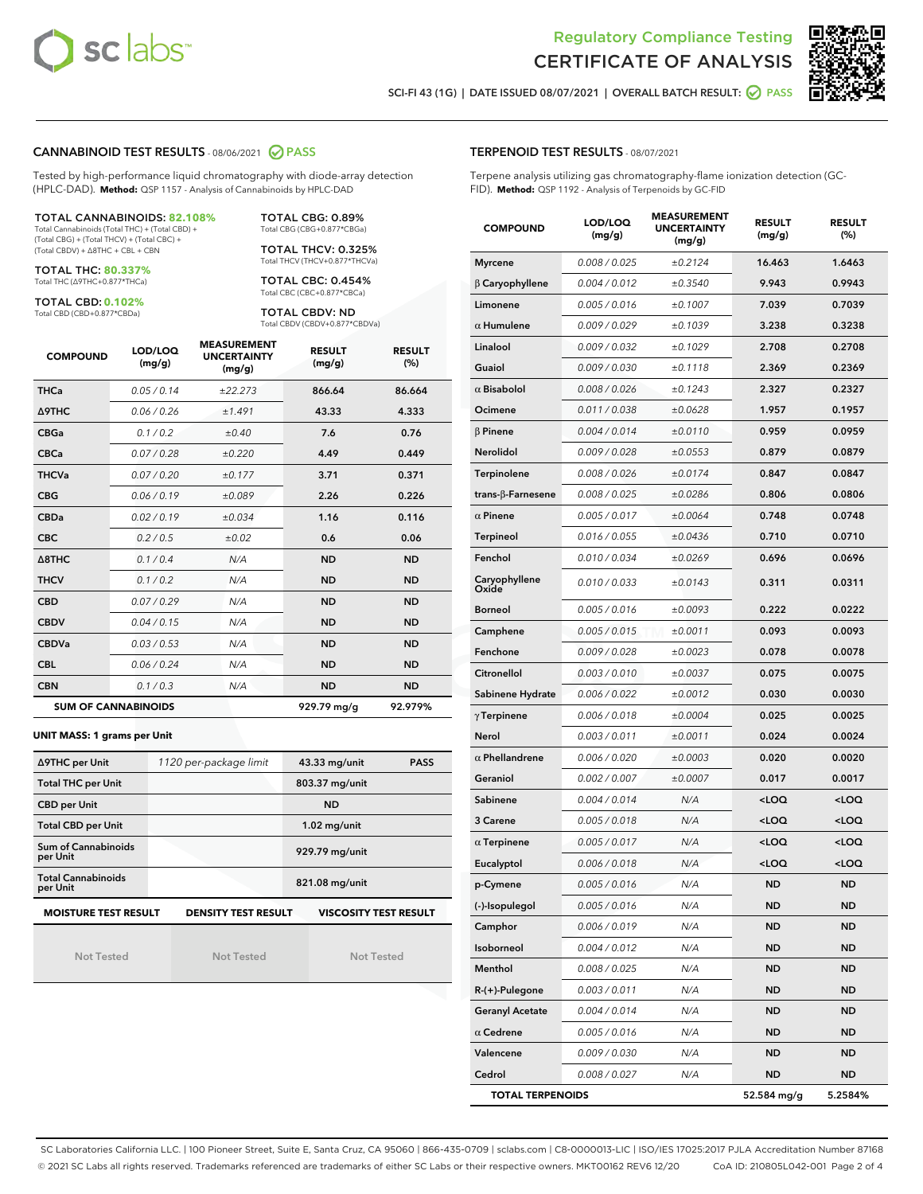



SCI-FI 43 (1G) | DATE ISSUED 08/07/2021 | OVERALL BATCH RESULT: 0 PASS

#### CANNABINOID TEST RESULTS - 08/06/2021 2 PASS

Tested by high-performance liquid chromatography with diode-array detection (HPLC-DAD). **Method:** QSP 1157 - Analysis of Cannabinoids by HPLC-DAD

TOTAL CANNABINOIDS: **82.108%** Total Cannabinoids (Total THC) + (Total CBD) + (Total CBG) + (Total THCV) + (Total CBC) + (Total CBDV) + ∆8THC + CBL + CBN

TOTAL THC: **80.337%**

Total THC (∆9THC+0.877\*THCa)

TOTAL CBD: **0.102%** Total CBD (CBD+0.877\*CBDa)

TOTAL CBG: 0.89% Total CBG (CBG+0.877\*CBGa)

TOTAL THCV: 0.325% Total THCV (THCV+0.877\*THCVa)

TOTAL CBC: 0.454% Total CBC (CBC+0.877\*CBCa)

TOTAL CBDV: ND Total CBDV (CBDV+0.877\*CBDVa)

| <b>COMPOUND</b>  | LOD/LOQ<br>(mg/g)          | <b>MEASUREMENT</b><br><b>UNCERTAINTY</b><br>(mg/g) | <b>RESULT</b><br>(mg/g) | <b>RESULT</b><br>(%) |
|------------------|----------------------------|----------------------------------------------------|-------------------------|----------------------|
| <b>THCa</b>      | 0.05/0.14                  | ±22.273                                            | 866.64                  | 86.664               |
| <b>A9THC</b>     | 0.06 / 0.26                | ±1.491                                             | 43.33                   | 4.333                |
| <b>CBGa</b>      | 0.1/0.2                    | ±0.40                                              | 7.6                     | 0.76                 |
| <b>CBCa</b>      | 0.07/0.28                  | ±0.220                                             | 4.49                    | 0.449                |
| <b>THCVa</b>     | 0.07/0.20                  | ±0.177                                             | 3.71                    | 0.371                |
| <b>CBG</b>       | 0.06/0.19                  | ±0.089                                             | 2.26                    | 0.226                |
| <b>CBDa</b>      | 0.02/0.19                  | ±0.034                                             | 1.16                    | 0.116                |
| <b>CBC</b>       | 0.2 / 0.5                  | ±0.02                                              | 0.6                     | 0.06                 |
| $\triangle$ 8THC | 0.1/0.4                    | N/A                                                | <b>ND</b>               | <b>ND</b>            |
| <b>THCV</b>      | 0.1/0.2                    | N/A                                                | <b>ND</b>               | <b>ND</b>            |
| <b>CBD</b>       | 0.07/0.29                  | N/A                                                | <b>ND</b>               | <b>ND</b>            |
| <b>CBDV</b>      | 0.04 / 0.15                | N/A                                                | <b>ND</b>               | <b>ND</b>            |
| <b>CBDVa</b>     | 0.03/0.53                  | N/A                                                | <b>ND</b>               | <b>ND</b>            |
| <b>CBL</b>       | 0.06 / 0.24                | N/A                                                | <b>ND</b>               | <b>ND</b>            |
| <b>CBN</b>       | 0.1/0.3                    | N/A                                                | <b>ND</b>               | <b>ND</b>            |
|                  | <b>SUM OF CANNABINOIDS</b> |                                                    | 929.79 mg/g             | 92.979%              |

**UNIT MASS: 1 grams per Unit**

| ∆9THC per Unit                                                                            | 1120 per-package limit | 43.33 mg/unit<br><b>PASS</b> |  |  |  |
|-------------------------------------------------------------------------------------------|------------------------|------------------------------|--|--|--|
| <b>Total THC per Unit</b>                                                                 |                        | 803.37 mg/unit               |  |  |  |
| <b>CBD per Unit</b>                                                                       |                        | <b>ND</b>                    |  |  |  |
| <b>Total CBD per Unit</b>                                                                 |                        | $1.02$ mg/unit               |  |  |  |
| Sum of Cannabinoids<br>per Unit                                                           |                        | 929.79 mg/unit               |  |  |  |
| <b>Total Cannabinoids</b><br>per Unit                                                     |                        | 821.08 mg/unit               |  |  |  |
| <b>MOISTURE TEST RESULT</b><br><b>DENSITY TEST RESULT</b><br><b>VISCOSITY TEST RESULT</b> |                        |                              |  |  |  |

Not Tested

Not Tested

Not Tested

#### TERPENOID TEST RESULTS - 08/07/2021

Terpene analysis utilizing gas chromatography-flame ionization detection (GC-FID). **Method:** QSP 1192 - Analysis of Terpenoids by GC-FID

| <b>COMPOUND</b>         | LOD/LOQ<br>(mg/g) | <b>MEASUREMENT</b><br><b>UNCERTAINTY</b><br>(mg/g) | <b>RESULT</b><br>(mg/g)                         | <b>RESULT</b><br>$(\%)$ |
|-------------------------|-------------------|----------------------------------------------------|-------------------------------------------------|-------------------------|
| <b>Myrcene</b>          | 0.008 / 0.025     | ±0.2124                                            | 16.463                                          | 1.6463                  |
| $\beta$ Caryophyllene   | 0.004 / 0.012     | ±0.3540                                            | 9.943                                           | 0.9943                  |
| Limonene                | 0.005 / 0.016     | ±0.1007                                            | 7.039                                           | 0.7039                  |
| $\alpha$ Humulene       | 0.009 / 0.029     | ±0.1039                                            | 3.238                                           | 0.3238                  |
| Linalool                | 0.009 / 0.032     | ±0.1029                                            | 2.708                                           | 0.2708                  |
| Guaiol                  | 0.009/0.030       | ±0.1118                                            | 2.369                                           | 0.2369                  |
| $\alpha$ Bisabolol      | 0.008 / 0.026     | ±0.1243                                            | 2.327                                           | 0.2327                  |
| Ocimene                 | 0.011 / 0.038     | ±0.0628                                            | 1.957                                           | 0.1957                  |
| $\beta$ Pinene          | 0.004 / 0.014     | ±0.0110                                            | 0.959                                           | 0.0959                  |
| Nerolidol               | 0.009 / 0.028     | ±0.0553                                            | 0.879                                           | 0.0879                  |
| Terpinolene             | 0.008 / 0.026     | ±0.0174                                            | 0.847                                           | 0.0847                  |
| trans-β-Farnesene       | 0.008 / 0.025     | ±0.0286                                            | 0.806                                           | 0.0806                  |
| $\alpha$ Pinene         | 0.005 / 0.017     | ±0.0064                                            | 0.748                                           | 0.0748                  |
| Terpineol               | 0.016 / 0.055     | ±0.0436                                            | 0.710                                           | 0.0710                  |
| Fenchol                 | 0.010 / 0.034     | ±0.0269                                            | 0.696                                           | 0.0696                  |
| Caryophyllene<br>Oxide  | 0.010 / 0.033     | ±0.0143                                            | 0.311                                           | 0.0311                  |
| <b>Borneol</b>          | 0.005 / 0.016     | ±0.0093                                            | 0.222                                           | 0.0222                  |
| Camphene                | 0.005 / 0.015     | ±0.0011                                            | 0.093                                           | 0.0093                  |
| Fenchone                | 0.009 / 0.028     | ±0.0023                                            | 0.078                                           | 0.0078                  |
| Citronellol             | 0.003 / 0.010     | ±0.0037                                            | 0.075                                           | 0.0075                  |
| Sabinene Hydrate        | 0.006 / 0.022     | ±0.0012                                            | 0.030                                           | 0.0030                  |
| $\gamma$ Terpinene      | 0.006 / 0.018     | ±0.0004                                            | 0.025                                           | 0.0025                  |
| Nerol                   | 0.003 / 0.011     | ±0.0011                                            | 0.024                                           | 0.0024                  |
| $\alpha$ Phellandrene   | 0.006 / 0.020     | ±0.0003                                            | 0.020                                           | 0.0020                  |
| Geraniol                | 0.002 / 0.007     | ±0.0007                                            | 0.017                                           | 0.0017                  |
| Sabinene                | 0.004 / 0.014     | N/A                                                | <loq< th=""><th><loq< th=""></loq<></th></loq<> | <loq< th=""></loq<>     |
| 3 Carene                | 0.005 / 0.018     | N/A                                                | 100                                             | <loq< th=""></loq<>     |
| $\alpha$ Terpinene      | 0.005 / 0.017     | N/A                                                | <loq< th=""><th><loq< th=""></loq<></th></loq<> | <loq< th=""></loq<>     |
| Eucalyptol              | 0.006 / 0.018     | N/A                                                | <loq< th=""><th><loq< th=""></loq<></th></loq<> | <loq< th=""></loq<>     |
| p-Cymene                | 0.005 / 0.016     | N/A                                                | <b>ND</b>                                       | ND                      |
| (-)-Isopulegol          | 0.005 / 0.016     | N/A                                                | ND                                              | ND                      |
| Camphor                 | 0.006 / 0.019     | N/A                                                | ND                                              | ND                      |
| Isoborneol              | 0.004 / 0.012     | N/A                                                | <b>ND</b>                                       | ND                      |
| Menthol                 | 0.008 / 0.025     | N/A                                                | ND                                              | ND                      |
| $R-(+)$ -Pulegone       | 0.003 / 0.011     | N/A                                                | ND                                              | ND                      |
| <b>Geranyl Acetate</b>  | 0.004 / 0.014     | N/A                                                | <b>ND</b>                                       | ND                      |
| $\alpha$ Cedrene        | 0.005 / 0.016     | N/A                                                | ND                                              | ND                      |
| Valencene               | 0.009 / 0.030     | N/A                                                | ND                                              | ND                      |
| Cedrol                  | 0.008 / 0.027     | N/A                                                | <b>ND</b>                                       | ND                      |
| <b>TOTAL TERPENOIDS</b> |                   |                                                    | 52.584 mg/g                                     | 5.2584%                 |

SC Laboratories California LLC. | 100 Pioneer Street, Suite E, Santa Cruz, CA 95060 | 866-435-0709 | sclabs.com | C8-0000013-LIC | ISO/IES 17025:2017 PJLA Accreditation Number 87168 © 2021 SC Labs all rights reserved. Trademarks referenced are trademarks of either SC Labs or their respective owners. MKT00162 REV6 12/20 CoA ID: 210805L042-001 Page 2 of 4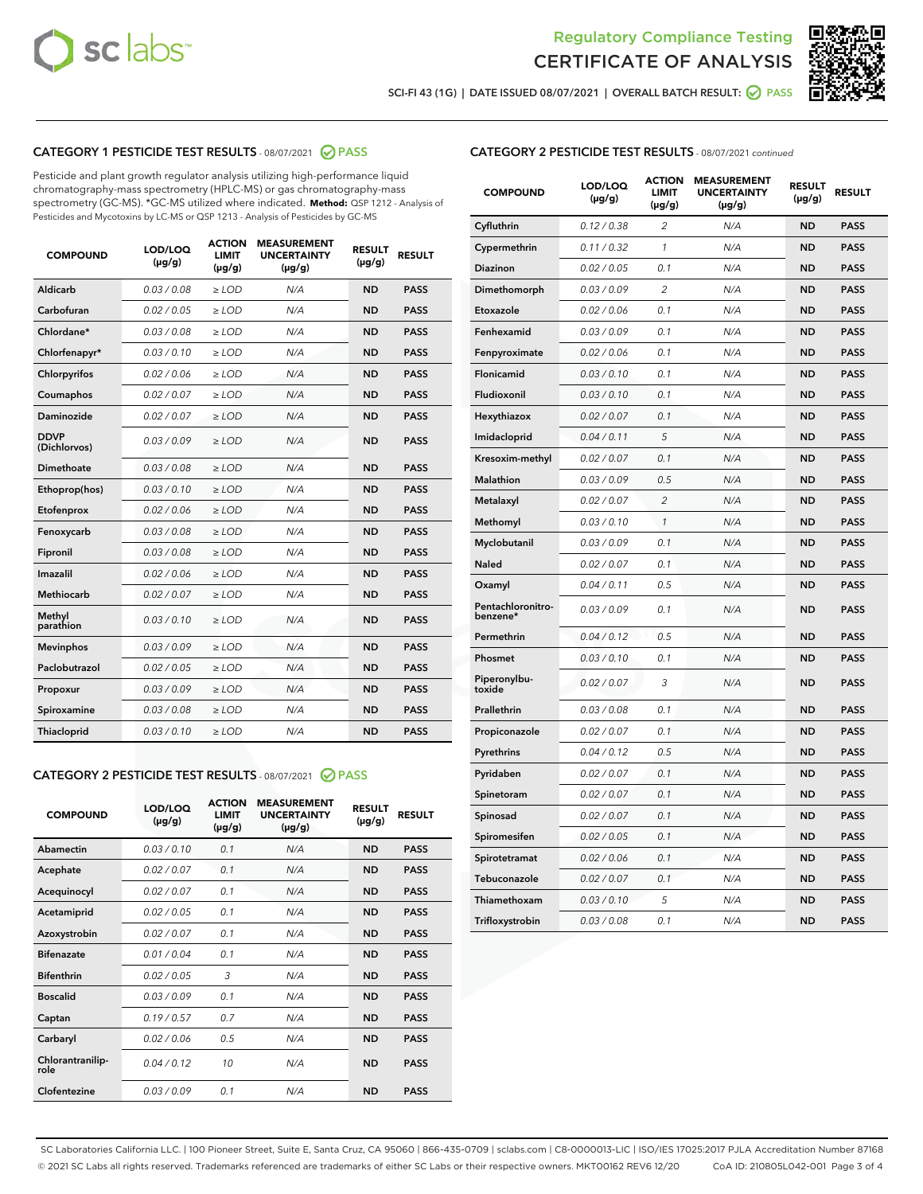



SCI-FI 43 (1G) | DATE ISSUED 08/07/2021 | OVERALL BATCH RESULT: 0 PASS

#### CATEGORY 1 PESTICIDE TEST RESULTS - 08/07/2021 2 PASS

Pesticide and plant growth regulator analysis utilizing high-performance liquid chromatography-mass spectrometry (HPLC-MS) or gas chromatography-mass spectrometry (GC-MS). \*GC-MS utilized where indicated. **Method:** QSP 1212 - Analysis of Pesticides and Mycotoxins by LC-MS or QSP 1213 - Analysis of Pesticides by GC-MS

| <b>COMPOUND</b>             | LOD/LOQ<br>$(\mu g/g)$ | <b>ACTION</b><br><b>LIMIT</b><br>$(\mu g/g)$ | <b>MEASUREMENT</b><br><b>UNCERTAINTY</b><br>$(\mu g/g)$ | <b>RESULT</b><br>$(\mu g/g)$ | <b>RESULT</b> |
|-----------------------------|------------------------|----------------------------------------------|---------------------------------------------------------|------------------------------|---------------|
| Aldicarb                    | 0.03/0.08              | $>$ LOD                                      | N/A                                                     | <b>ND</b>                    | <b>PASS</b>   |
| Carbofuran                  | 0.02 / 0.05            | $\ge$ LOD                                    | N/A                                                     | <b>ND</b>                    | <b>PASS</b>   |
| Chlordane*                  | 0.03/0.08              | $>$ LOD                                      | N/A                                                     | <b>ND</b>                    | <b>PASS</b>   |
| Chlorfenapyr*               | 0.03 / 0.10            | $\ge$ LOD                                    | N/A                                                     | <b>ND</b>                    | <b>PASS</b>   |
| Chlorpyrifos                | 0.02 / 0.06            | $\ge$ LOD                                    | N/A                                                     | <b>ND</b>                    | <b>PASS</b>   |
| Coumaphos                   | 0.02 / 0.07            | $\ge$ LOD                                    | N/A                                                     | <b>ND</b>                    | <b>PASS</b>   |
| Daminozide                  | 0.02 / 0.07            | $\ge$ LOD                                    | N/A                                                     | <b>ND</b>                    | <b>PASS</b>   |
| <b>DDVP</b><br>(Dichlorvos) | 0.03/0.09              | $\ge$ LOD                                    | N/A                                                     | <b>ND</b>                    | <b>PASS</b>   |
| <b>Dimethoate</b>           | 0.03/0.08              | $\ge$ LOD                                    | N/A                                                     | <b>ND</b>                    | <b>PASS</b>   |
| Ethoprop(hos)               | 0.03/0.10              | $\ge$ LOD                                    | N/A                                                     | <b>ND</b>                    | <b>PASS</b>   |
| Etofenprox                  | 0.02 / 0.06            | $\ge$ LOD                                    | N/A                                                     | <b>ND</b>                    | <b>PASS</b>   |
| Fenoxycarb                  | 0.03 / 0.08            | $\ge$ LOD                                    | N/A                                                     | <b>ND</b>                    | <b>PASS</b>   |
| Fipronil                    | 0.03/0.08              | $>$ LOD                                      | N/A                                                     | <b>ND</b>                    | <b>PASS</b>   |
| Imazalil                    | 0.02 / 0.06            | $\ge$ LOD                                    | N/A                                                     | <b>ND</b>                    | <b>PASS</b>   |
| Methiocarb                  | 0.02 / 0.07            | $\ge$ LOD                                    | N/A                                                     | <b>ND</b>                    | <b>PASS</b>   |
| Methyl<br>parathion         | 0.03/0.10              | $\ge$ LOD                                    | N/A                                                     | <b>ND</b>                    | <b>PASS</b>   |
| <b>Mevinphos</b>            | 0.03/0.09              | $\ge$ LOD                                    | N/A                                                     | <b>ND</b>                    | <b>PASS</b>   |
| Paclobutrazol               | 0.02 / 0.05            | $>$ LOD                                      | N/A                                                     | <b>ND</b>                    | <b>PASS</b>   |
| Propoxur                    | 0.03/0.09              | $\ge$ LOD                                    | N/A                                                     | <b>ND</b>                    | <b>PASS</b>   |
| Spiroxamine                 | 0.03 / 0.08            | $\ge$ LOD                                    | N/A                                                     | <b>ND</b>                    | <b>PASS</b>   |
| Thiacloprid                 | 0.03/0.10              | $\ge$ LOD                                    | N/A                                                     | <b>ND</b>                    | <b>PASS</b>   |
|                             |                        |                                              |                                                         |                              |               |

#### CATEGORY 2 PESTICIDE TEST RESULTS - 08/07/2021 @ PASS

| <b>COMPOUND</b>          | LOD/LOQ<br>$(\mu g/g)$ | <b>ACTION</b><br><b>LIMIT</b><br>$(\mu g/g)$ | <b>MEASUREMENT</b><br><b>UNCERTAINTY</b><br>$(\mu g/g)$ | <b>RESULT</b><br>$(\mu g/g)$ | <b>RESULT</b> |
|--------------------------|------------------------|----------------------------------------------|---------------------------------------------------------|------------------------------|---------------|
| Abamectin                | 0.03/0.10              | 0.1                                          | N/A                                                     | <b>ND</b>                    | <b>PASS</b>   |
| Acephate                 | 0.02/0.07              | 0.1                                          | N/A                                                     | <b>ND</b>                    | <b>PASS</b>   |
| Acequinocyl              | 0.02/0.07              | 0.1                                          | N/A                                                     | <b>ND</b>                    | <b>PASS</b>   |
| Acetamiprid              | 0.02/0.05              | 0.1                                          | N/A                                                     | <b>ND</b>                    | <b>PASS</b>   |
| Azoxystrobin             | 0.02/0.07              | 0.1                                          | N/A                                                     | <b>ND</b>                    | <b>PASS</b>   |
| <b>Bifenazate</b>        | 0.01/0.04              | 0.1                                          | N/A                                                     | <b>ND</b>                    | <b>PASS</b>   |
| <b>Bifenthrin</b>        | 0.02/0.05              | 3                                            | N/A                                                     | <b>ND</b>                    | <b>PASS</b>   |
| <b>Boscalid</b>          | 0.03/0.09              | 0.1                                          | N/A                                                     | <b>ND</b>                    | <b>PASS</b>   |
| Captan                   | 0.19/0.57              | 0.7                                          | N/A                                                     | <b>ND</b>                    | <b>PASS</b>   |
| Carbaryl                 | 0.02/0.06              | 0.5                                          | N/A                                                     | <b>ND</b>                    | <b>PASS</b>   |
| Chlorantranilip-<br>role | 0.04/0.12              | 10                                           | N/A                                                     | <b>ND</b>                    | <b>PASS</b>   |
| Clofentezine             | 0.03/0.09              | 0.1                                          | N/A                                                     | <b>ND</b>                    | <b>PASS</b>   |

#### CATEGORY 2 PESTICIDE TEST RESULTS - 08/07/2021 continued

| <b>COMPOUND</b>               | LOD/LOQ<br>(µg/g) | <b>ACTION</b><br>LIMIT<br>$(\mu g/g)$ | <b>MEASUREMENT</b><br><b>UNCERTAINTY</b><br>(µg/g) | <b>RESULT</b><br>(µg/g) | <b>RESULT</b> |
|-------------------------------|-------------------|---------------------------------------|----------------------------------------------------|-------------------------|---------------|
| Cyfluthrin                    | 0.12 / 0.38       | 2                                     | N/A                                                | ND                      | <b>PASS</b>   |
| Cypermethrin                  | 0.11 / 0.32       | 1                                     | N/A                                                | ND                      | PASS          |
| Diazinon                      | 0.02 / 0.05       | 0.1                                   | N/A                                                | ND                      | PASS          |
| Dimethomorph                  | 0.03 / 0.09       | $\overline{2}$                        | N/A                                                | <b>ND</b>               | <b>PASS</b>   |
| Etoxazole                     | 0.02 / 0.06       | 0.1                                   | N/A                                                | ND                      | <b>PASS</b>   |
| Fenhexamid                    | 0.03 / 0.09       | 0.1                                   | N/A                                                | ND                      | <b>PASS</b>   |
| Fenpyroximate                 | 0.02 / 0.06       | 0.1                                   | N/A                                                | <b>ND</b>               | <b>PASS</b>   |
| Flonicamid                    | 0.03 / 0.10       | 0.1                                   | N/A                                                | <b>ND</b>               | <b>PASS</b>   |
| Fludioxonil                   | 0.03 / 0.10       | 0.1                                   | N/A                                                | <b>ND</b>               | <b>PASS</b>   |
| Hexythiazox                   | 0.02 / 0.07       | 0.1                                   | N/A                                                | <b>ND</b>               | PASS          |
| Imidacloprid                  | 0.04 / 0.11       | 5                                     | N/A                                                | <b>ND</b>               | <b>PASS</b>   |
| Kresoxim-methyl               | 0.02 / 0.07       | 0.1                                   | N/A                                                | ND                      | <b>PASS</b>   |
| Malathion                     | 0.03 / 0.09       | 0.5                                   | N/A                                                | <b>ND</b>               | <b>PASS</b>   |
| Metalaxyl                     | 0.02 / 0.07       | $\overline{c}$                        | N/A                                                | <b>ND</b>               | <b>PASS</b>   |
| Methomyl                      | 0.03 / 0.10       | 1                                     | N/A                                                | ND                      | <b>PASS</b>   |
| Myclobutanil                  | 0.03/0.09         | 0.1                                   | N/A                                                | <b>ND</b>               | <b>PASS</b>   |
| Naled                         | 0.02 / 0.07       | 0.1                                   | N/A                                                | ND                      | <b>PASS</b>   |
| Oxamyl                        | 0.04 / 0.11       | 0.5                                   | N/A                                                | ND                      | <b>PASS</b>   |
| Pentachloronitro-<br>benzene* | 0.03 / 0.09       | 0.1                                   | N/A                                                | ND                      | <b>PASS</b>   |
| Permethrin                    | 0.04/0.12         | 0.5                                   | N/A                                                | <b>ND</b>               | <b>PASS</b>   |
| Phosmet                       | 0.03 / 0.10       | 0.1                                   | N/A                                                | ND                      | PASS          |
| Piperonylbu-<br>toxide        | 0.02 / 0.07       | 3                                     | N/A                                                | <b>ND</b>               | <b>PASS</b>   |
| Prallethrin                   | 0.03 / 0.08       | 0.1                                   | N/A                                                | <b>ND</b>               | <b>PASS</b>   |
| Propiconazole                 | 0.02 / 0.07       | 0.1                                   | N/A                                                | ND                      | <b>PASS</b>   |
| Pyrethrins                    | 0.04 / 0.12       | 0.5                                   | N/A                                                | ND                      | PASS          |
| Pyridaben                     | 0.02 / 0.07       | 0.1                                   | N/A                                                | <b>ND</b>               | <b>PASS</b>   |
| Spinetoram                    | 0.02 / 0.07       | 0.1                                   | N/A                                                | ND                      | <b>PASS</b>   |
| Spinosad                      | 0.02 / 0.07       | 0.1                                   | N/A                                                | ND                      | PASS          |
| Spiromesifen                  | 0.02 / 0.05       | 0.1                                   | N/A                                                | <b>ND</b>               | <b>PASS</b>   |
| Spirotetramat                 | 0.02 / 0.06       | 0.1                                   | N/A                                                | ND                      | <b>PASS</b>   |
| Tebuconazole                  | 0.02 / 0.07       | 0.1                                   | N/A                                                | ND                      | <b>PASS</b>   |
| Thiamethoxam                  | 0.03 / 0.10       | 5                                     | N/A                                                | <b>ND</b>               | <b>PASS</b>   |
| Trifloxystrobin               | 0.03 / 0.08       | 0.1                                   | N/A                                                | <b>ND</b>               | <b>PASS</b>   |

SC Laboratories California LLC. | 100 Pioneer Street, Suite E, Santa Cruz, CA 95060 | 866-435-0709 | sclabs.com | C8-0000013-LIC | ISO/IES 17025:2017 PJLA Accreditation Number 87168 © 2021 SC Labs all rights reserved. Trademarks referenced are trademarks of either SC Labs or their respective owners. MKT00162 REV6 12/20 CoA ID: 210805L042-001 Page 3 of 4